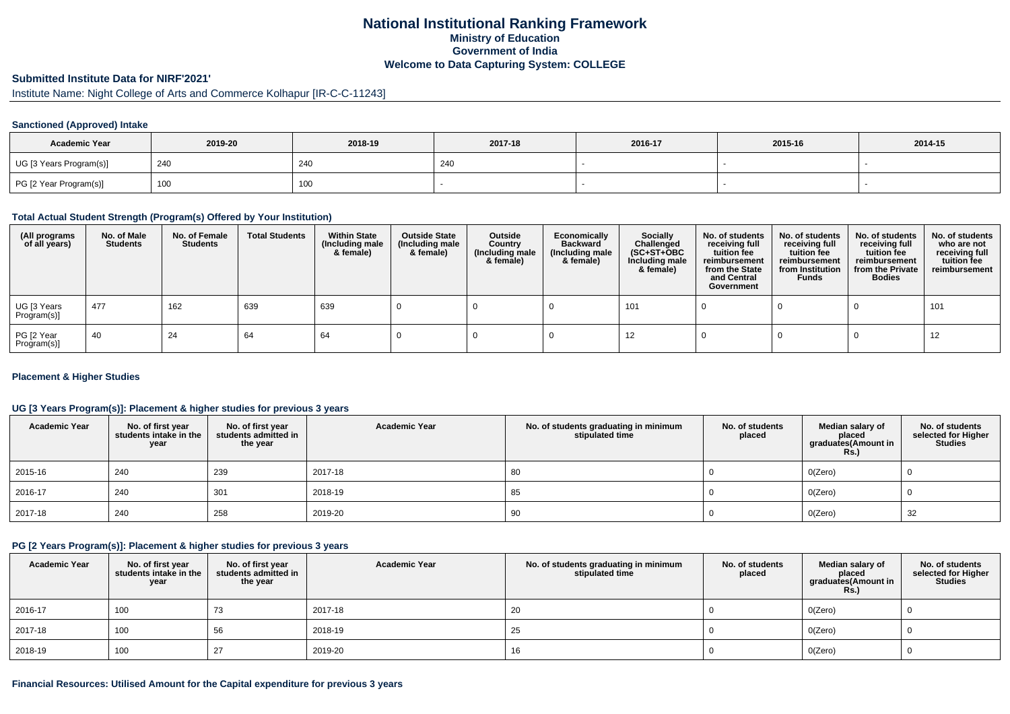## **National Institutional Ranking FrameworkMinistry of Education Government of IndiaWelcome to Data Capturing System: COLLEGE**

### **Submitted Institute Data for NIRF'2021'**

# Institute Name: Night College of Arts and Commerce Kolhapur [IR-C-C-11243]

#### **Sanctioned (Approved) Intake**

| <b>Academic Year</b>    | 2019-20 | 2018-19 | 2017-18    | 2016-17 | 2015-16 | 2014-15 |
|-------------------------|---------|---------|------------|---------|---------|---------|
| UG [3 Years Program(s)] | 240     | 240     | <b>240</b> |         |         |         |
| PG [2 Year Program(s)]  | 100     | 100     |            |         |         |         |

### **Total Actual Student Strength (Program(s) Offered by Your Institution)**

| (All programs<br>of all years) | No. of Male<br><b>Students</b> | No. of Female<br>Students | <b>Total Students</b> | <b>Within State</b><br>(Including male<br>& female) | <b>Outside State</b><br>(Including male<br>& female) | Outside<br>Country<br>(Including male<br>& female) | Economically<br><b>Backward</b><br>(Including male<br>& female) | <b>Socially</b><br>Challenged<br>$(SC+ST+OBC)$<br>Including male<br>& female) | No. of students<br>receiving full<br>tuition fee<br>reimbursement<br>from the State<br>and Central<br>Government | No. of students<br>receiving full<br>tuition fee<br>reimbursement<br>from Institution<br><b>Funds</b> | No. of students<br>receiving full<br>tuition fee<br>reimbursement<br>from the Private<br><b>Bodies</b> | No. of students<br>who are not<br>receiving full<br>tuition fee<br>reimbursement |
|--------------------------------|--------------------------------|---------------------------|-----------------------|-----------------------------------------------------|------------------------------------------------------|----------------------------------------------------|-----------------------------------------------------------------|-------------------------------------------------------------------------------|------------------------------------------------------------------------------------------------------------------|-------------------------------------------------------------------------------------------------------|--------------------------------------------------------------------------------------------------------|----------------------------------------------------------------------------------|
| UG [3 Years<br>Program(s)]     | 477                            | 162                       | 639                   | 639                                                 |                                                      |                                                    |                                                                 | 101                                                                           |                                                                                                                  |                                                                                                       |                                                                                                        | 101                                                                              |
| PG [2 Year<br>Program(s)]      | -40                            | 24                        | 64                    | 64                                                  |                                                      |                                                    |                                                                 | 12                                                                            |                                                                                                                  |                                                                                                       |                                                                                                        | 12                                                                               |

#### **Placement & Higher Studies**

### **UG [3 Years Program(s)]: Placement & higher studies for previous 3 years**

| <b>Academic Year</b> | No. of first year<br>students intake in the<br>year | No. of first year<br>students admitted in<br>the year | <b>Academic Year</b> | No. of students graduating in minimum<br>stipulated time | No. of students<br>placed | Median salary of<br>placed<br>graduates(Amount in<br><b>Rs.)</b> | No. of students<br>selected for Higher<br><b>Studies</b> |
|----------------------|-----------------------------------------------------|-------------------------------------------------------|----------------------|----------------------------------------------------------|---------------------------|------------------------------------------------------------------|----------------------------------------------------------|
| 2015-16              | 240                                                 | 239                                                   | 2017-18              | 80                                                       |                           | O(Zero)                                                          |                                                          |
| 2016-17              | 240                                                 | 301                                                   | 2018-19              | 85                                                       |                           | O(Zero)                                                          |                                                          |
| 2017-18              | 240                                                 | 258                                                   | 2019-20              | 90                                                       |                           | 0(Zero)                                                          | 32                                                       |

### **PG [2 Years Program(s)]: Placement & higher studies for previous 3 years**

| <b>Academic Year</b> | No. of first year students intake in the<br>year | No. of first year<br>students admitted in<br>the year | <b>Academic Year</b> | No. of students graduating in minimum<br>stipulated time | No. of students<br>placed | Median salary of<br>placed<br>graduates(Amount in<br><b>Rs.)</b> | No. of students<br>selected for Higher<br><b>Studies</b> |
|----------------------|--------------------------------------------------|-------------------------------------------------------|----------------------|----------------------------------------------------------|---------------------------|------------------------------------------------------------------|----------------------------------------------------------|
| 2016-17              | 100                                              | 73                                                    | 2017-18              | 20                                                       |                           | O(Zero)                                                          |                                                          |
| 2017-18              | 100                                              | 56                                                    | 2018-19              | 25                                                       |                           | O(Zero)                                                          |                                                          |
| 2018-19              | 100                                              |                                                       | 2019-20              | 16                                                       |                           | O(Zero)                                                          |                                                          |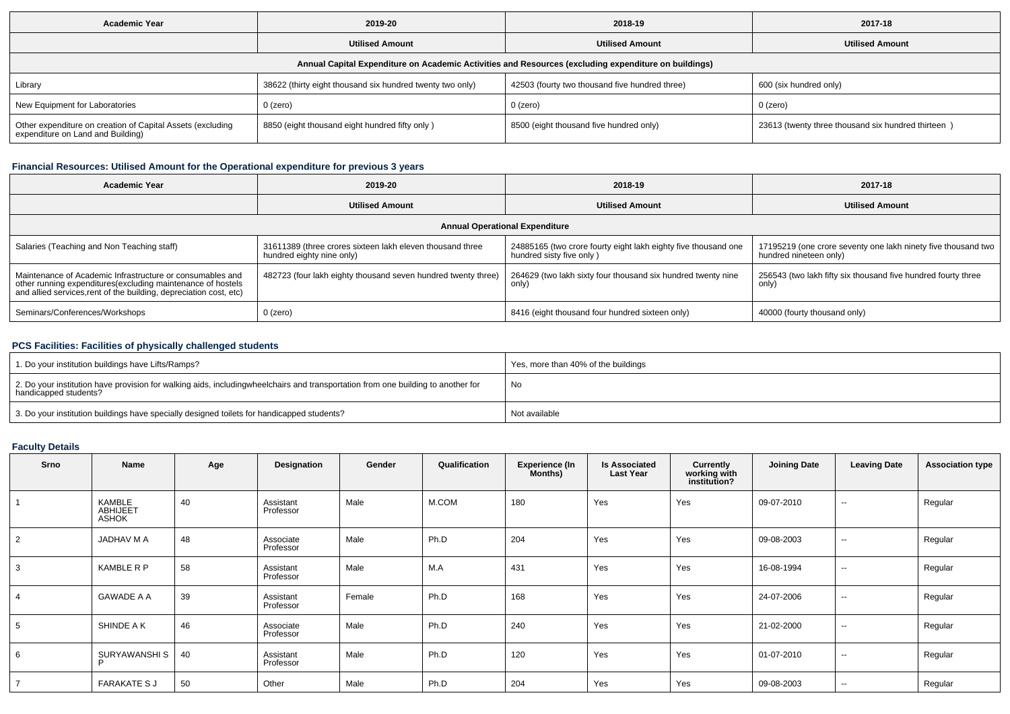| <b>Academic Year</b>                                                                                 | 2019-20                                                   | 2018-19                                        | 2017-18                                            |  |  |  |  |  |  |  |
|------------------------------------------------------------------------------------------------------|-----------------------------------------------------------|------------------------------------------------|----------------------------------------------------|--|--|--|--|--|--|--|
| <b>Utilised Amount</b>                                                                               |                                                           | <b>Utilised Amount</b>                         | <b>Utilised Amount</b>                             |  |  |  |  |  |  |  |
| Annual Capital Expenditure on Academic Activities and Resources (excluding expenditure on buildings) |                                                           |                                                |                                                    |  |  |  |  |  |  |  |
| Library                                                                                              | 38622 (thirty eight thousand six hundred twenty two only) | 42503 (fourty two thousand five hundred three) | 600 (six hundred only)                             |  |  |  |  |  |  |  |
| New Equipment for Laboratories                                                                       | $0$ (zero)                                                | 0 (zero)                                       | $0$ (zero)                                         |  |  |  |  |  |  |  |
| Other expenditure on creation of Capital Assets (excluding<br>expenditure on Land and Building)      | 8850 (eight thousand eight hundred fifty only)            | 8500 (eight thousand five hundred only)        | 23613 (twenty three thousand six hundred thirteen) |  |  |  |  |  |  |  |

## **Financial Resources: Utilised Amount for the Operational expenditure for previous 3 years**

| <b>Academic Year</b>                                                                                                                                                                            | 2019-20                                                                                | 2018-19                                                                                    | 2017-18                                                                                 |  |  |  |  |  |  |  |
|-------------------------------------------------------------------------------------------------------------------------------------------------------------------------------------------------|----------------------------------------------------------------------------------------|--------------------------------------------------------------------------------------------|-----------------------------------------------------------------------------------------|--|--|--|--|--|--|--|
| <b>Utilised Amount</b>                                                                                                                                                                          |                                                                                        | <b>Utilised Amount</b>                                                                     | <b>Utilised Amount</b>                                                                  |  |  |  |  |  |  |  |
| <b>Annual Operational Expenditure</b>                                                                                                                                                           |                                                                                        |                                                                                            |                                                                                         |  |  |  |  |  |  |  |
| Salaries (Teaching and Non Teaching staff)                                                                                                                                                      | 31611389 (three crores sixteen lakh eleven thousand three<br>hundred eighty nine only) | 24885165 (two crore fourty eight lakh eighty five thousand one<br>hundred sisty five only) | 17195219 (one crore seventy one lakh ninety five thousand two<br>hundred nineteen only) |  |  |  |  |  |  |  |
| Maintenance of Academic Infrastructure or consumables and<br>other running expenditures (excluding maintenance of hostels<br>and allied services, rent of the building, depreciation cost, etc) | 482723 (four lakh eighty thousand seven hundred twenty three)                          | 264629 (two lakh sixty four thousand six hundred twenty nine<br>only)                      | 256543 (two lakh fifty six thousand five hundred fourty three<br>only)                  |  |  |  |  |  |  |  |
| Seminars/Conferences/Workshops                                                                                                                                                                  | 0 (zero)                                                                               | 8416 (eight thousand four hundred sixteen only)                                            | 40000 (fourty thousand only)                                                            |  |  |  |  |  |  |  |

### **PCS Facilities: Facilities of physically challenged students**

| 1. Do your institution buildings have Lifts/Ramps?                                                                                                        | Yes, more than 40% of the buildings |
|-----------------------------------------------------------------------------------------------------------------------------------------------------------|-------------------------------------|
| 2. Do your institution have provision for walking aids, includingwheelchairs and transportation from one building to another for<br>handicapped students? | No                                  |
| 3. Do your institution buildings have specially designed toilets for handicapped students?                                                                | Not available                       |

# **Faculty Details**

| <b>Srno</b>    | Name                                      | Age | Designation            | Gender | Qualification | <b>Experience (In</b><br>Months) | <b>Is Associated</b><br><b>Last Year</b> | Currently<br>working with<br>institution? | <b>Joining Date</b> | <b>Leaving Date</b> | <b>Association type</b> |
|----------------|-------------------------------------------|-----|------------------------|--------|---------------|----------------------------------|------------------------------------------|-------------------------------------------|---------------------|---------------------|-------------------------|
|                | KAMBLE<br><b>ABHIJEET</b><br><b>ASHOK</b> | 40  | Assistant<br>Professor | Male   | M.COM         | 180                              | Yes                                      | Yes                                       | 09-07-2010          | --                  | Regular                 |
| 2              | JADHAV M A                                | 48  | Associate<br>Professor | Male   | Ph.D          | 204                              | Yes                                      | Yes                                       | 09-08-2003          | $\sim$              | Regular                 |
| 3              | <b>KAMBLE R P</b>                         | 58  | Assistant<br>Professor | Male   | M.A           | 431                              | Yes                                      | Yes                                       | 16-08-1994          | $\sim$              | Regular                 |
| $\overline{4}$ | <b>GAWADE A A</b>                         | 39  | Assistant<br>Professor | Female | Ph.D          | 168                              | Yes                                      | Yes                                       | 24-07-2006          | $\sim$              | Regular                 |
| 5              | SHINDE A K                                | 46  | Associate<br>Professor | Male   | Ph.D          | 240                              | Yes                                      | Yes                                       | 21-02-2000          | $\sim$              | Regular                 |
| 6              | SURYAWANSHI S<br>Þ                        | 40  | Assistant<br>Professor | Male   | Ph.D          | 120                              | Yes                                      | Yes                                       | 01-07-2010          | $\sim$              | Regular                 |
| $\overline{7}$ | <b>FARAKATE S J</b>                       | 50  | Other                  | Male   | Ph.D          | 204                              | Yes                                      | Yes                                       | 09-08-2003          | $\sim$              | Regular                 |